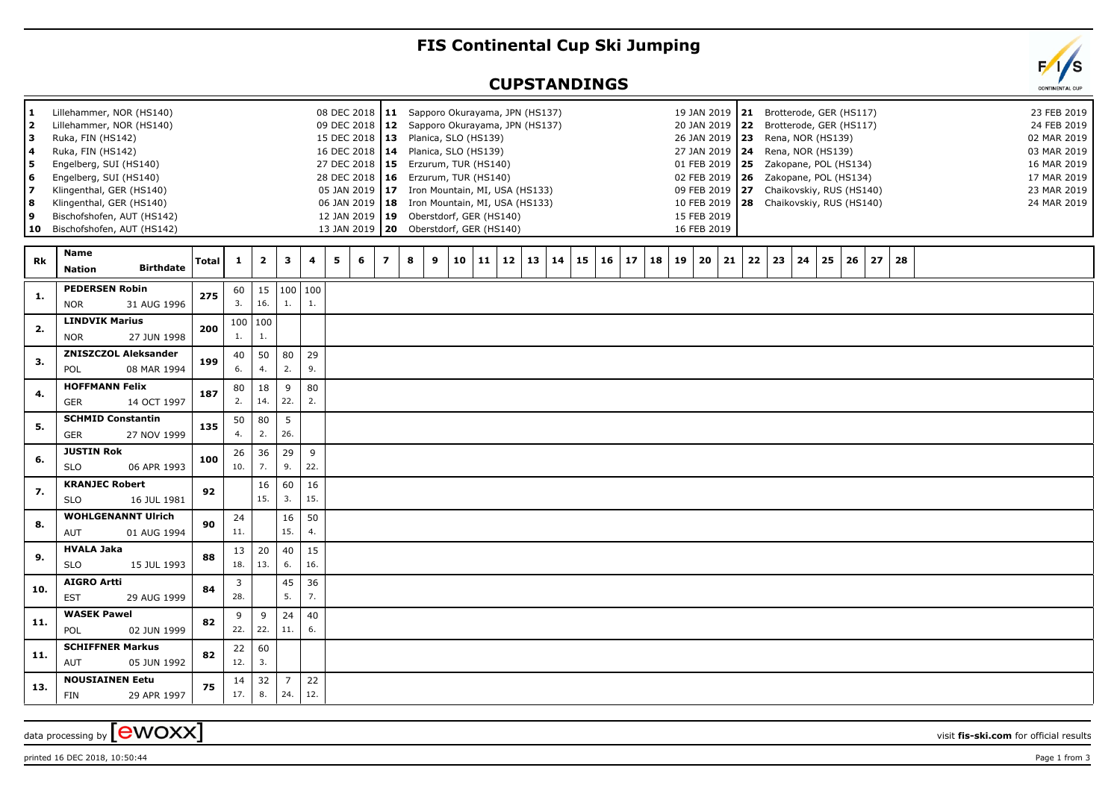## **FIS Continental Cup Ski Jumping**

## **CUPSTANDINGS**



printed 16 DEC 2018, 10:50:44 Page 1 from 3

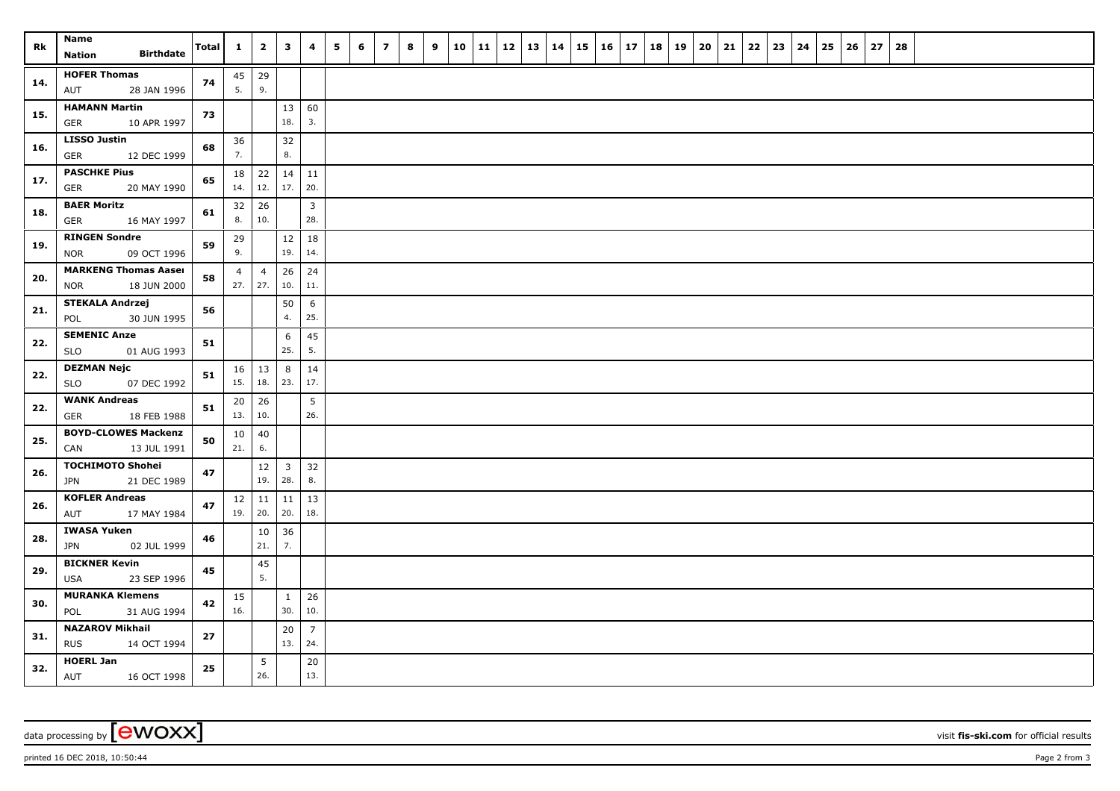| Rk  | Name<br><b>Birthdate</b><br>Nation                       | Total | $\mathbf{1}$              | $\overline{\mathbf{2}}$     | 3                              | 4                     | 5 | 6 | $\overline{z}$ | 8 | 9 | 10 | 11 | $12 \mid 13$ | 14 | 15 | $16 \mid 17$ | 18 | 19 | 20 | 21 | 22 | 23 | 24 | 25 | 26 | 27 | 28 |  |  |  |
|-----|----------------------------------------------------------|-------|---------------------------|-----------------------------|--------------------------------|-----------------------|---|---|----------------|---|---|----|----|--------------|----|----|--------------|----|----|----|----|----|----|----|----|----|----|----|--|--|--|
| 14. | <b>HOFER Thomas</b><br>28 JAN 1996<br>AUT                | 74    | $45 \mid 29$<br>5.        | 9.                          |                                |                       |   |   |                |   |   |    |    |              |    |    |              |    |    |    |    |    |    |    |    |    |    |    |  |  |  |
| 15. | <b>HAMANN Martin</b><br><b>GER</b><br>10 APR 1997        | 73    |                           |                             | 13<br>18.                      | 60<br>3.              |   |   |                |   |   |    |    |              |    |    |              |    |    |    |    |    |    |    |    |    |    |    |  |  |  |
| 16. | <b>LISSO Justin</b><br>GER<br>12 DEC 1999                | 68    | 36<br>7.                  |                             | 32<br>8.                       |                       |   |   |                |   |   |    |    |              |    |    |              |    |    |    |    |    |    |    |    |    |    |    |  |  |  |
| 17. | <b>PASCHKE Pius</b><br><b>GER</b><br>20 MAY 1990         | 65    | 14.                       | $18$   22<br>12.            | 14<br>17.                      | 11<br>20.             |   |   |                |   |   |    |    |              |    |    |              |    |    |    |    |    |    |    |    |    |    |    |  |  |  |
| 18. | <b>BAER Moritz</b><br>16 MAY 1997<br><b>GER</b>          | 61    | 32<br>8.                  | 26<br>10.                   |                                | 3<br>28.              |   |   |                |   |   |    |    |              |    |    |              |    |    |    |    |    |    |    |    |    |    |    |  |  |  |
| 19. | <b>RINGEN Sondre</b><br>09 OCT 1996<br><b>NOR</b>        | 59    | 29<br>9.                  |                             | $12$<br>19.                    | 18<br>14.             |   |   |                |   |   |    |    |              |    |    |              |    |    |    |    |    |    |    |    |    |    |    |  |  |  |
| 20. | <b>MARKENG Thomas Aaser</b><br>18 JUN 2000<br><b>NOR</b> | 58    | $\overline{4}$            | $\overline{4}$<br>$27.$ 27. | 26<br>10.                      | 24<br>11.             |   |   |                |   |   |    |    |              |    |    |              |    |    |    |    |    |    |    |    |    |    |    |  |  |  |
| 21. | <b>STEKALA Andrzej</b><br>POL<br>30 JUN 1995             | 56    |                           |                             | 50<br>4.                       | 6<br>25.              |   |   |                |   |   |    |    |              |    |    |              |    |    |    |    |    |    |    |    |    |    |    |  |  |  |
| 22. | <b>SEMENIC Anze</b><br><b>SLO</b><br>01 AUG 1993         | 51    |                           |                             | 6<br>25.                       | 45<br>5.              |   |   |                |   |   |    |    |              |    |    |              |    |    |    |    |    |    |    |    |    |    |    |  |  |  |
| 22. | <b>DEZMAN Nejc</b><br>07 DEC 1992<br><b>SLO</b>          | 51    | 15.   18.                 | $16 \mid 13$                | 8<br>23.                       | 14<br>17.             |   |   |                |   |   |    |    |              |    |    |              |    |    |    |    |    |    |    |    |    |    |    |  |  |  |
| 22. | <b>WANK Andreas</b><br><b>GER</b><br>18 FEB 1988         | 51    | 20<br>13.                 | 26<br>10.                   |                                | 5<br>26.              |   |   |                |   |   |    |    |              |    |    |              |    |    |    |    |    |    |    |    |    |    |    |  |  |  |
| 25. | <b>BOYD-CLOWES Mackenzi</b><br>CAN<br>13 JUL 1991        | 50    | 10 <sup>1</sup><br>21.    | 40<br>6.                    |                                |                       |   |   |                |   |   |    |    |              |    |    |              |    |    |    |    |    |    |    |    |    |    |    |  |  |  |
| 26. | <b>TOCHIMOTO Shohei</b><br>21 DEC 1989<br><b>JPN</b>     | 47    |                           | 12<br>19.                   | $\overline{\mathbf{3}}$<br>28. | 32<br>8.              |   |   |                |   |   |    |    |              |    |    |              |    |    |    |    |    |    |    |    |    |    |    |  |  |  |
| 26. | <b>KOFLER Andreas</b><br>AUT<br>17 MAY 1984              | 47    | $12 \mid 11$<br>$19.$ 20. |                             | 11<br>20.                      | 13<br>18.             |   |   |                |   |   |    |    |              |    |    |              |    |    |    |    |    |    |    |    |    |    |    |  |  |  |
| 28. | IWASA Yuken<br><b>JPN</b><br>02 JUL 1999                 | 46    |                           | 10<br>21.                   | 36<br>7.                       |                       |   |   |                |   |   |    |    |              |    |    |              |    |    |    |    |    |    |    |    |    |    |    |  |  |  |
| 29. | <b>BICKNER Kevin</b><br><b>USA</b><br>23 SEP 1996        | 45    |                           | 45<br>5.                    |                                |                       |   |   |                |   |   |    |    |              |    |    |              |    |    |    |    |    |    |    |    |    |    |    |  |  |  |
| 30. | <b>MURANKA Klemens</b><br>POL<br>31 AUG 1994             | 42    | 15<br>16.                 |                             | $\mathbf{1}$<br>30.            | 26<br>10.             |   |   |                |   |   |    |    |              |    |    |              |    |    |    |    |    |    |    |    |    |    |    |  |  |  |
| 31. | <b>NAZAROV Mikhail</b><br><b>RUS</b><br>14 OCT 1994      | 27    |                           |                             | 20<br>13.                      | $\overline{7}$<br>24. |   |   |                |   |   |    |    |              |    |    |              |    |    |    |    |    |    |    |    |    |    |    |  |  |  |
| 32. | <b>HOERL Jan</b><br>16 OCT 1998<br>AUT                   | 25    |                           | 5<br>26.                    |                                | 20<br>13.             |   |   |                |   |   |    |    |              |    |    |              |    |    |    |    |    |    |    |    |    |    |    |  |  |  |

data processing by **CWOXX** visit fis-ski.com for official results